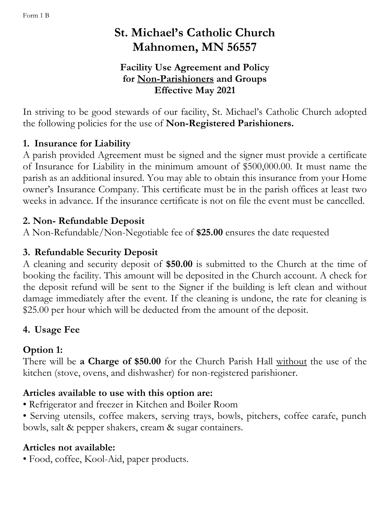# **St. Michael's Catholic Church Mahnomen, MN 56557**

### **Facility Use Agreement and Policy for Non-Parishioners and Groups Effective May 2021**

In striving to be good stewards of our facility, St. Michael's Catholic Church adopted the following policies for the use of **Non-Registered Parishioners.**

#### **1. Insurance for Liability**

A parish provided Agreement must be signed and the signer must provide a certificate of Insurance for Liability in the minimum amount of \$500,000.00. It must name the parish as an additional insured. You may able to obtain this insurance from your Home owner's Insurance Company. This certificate must be in the parish offices at least two weeks in advance. If the insurance certificate is not on file the event must be cancelled.

#### **2. Non- Refundable Deposit**

A Non-Refundable/Non-Negotiable fee of **\$25.00** ensures the date requested

## **3. Refundable Security Deposit**

A cleaning and security deposit of **\$50.00** is submitted to the Church at the time of booking the facility. This amount will be deposited in the Church account. A check for the deposit refund will be sent to the Signer if the building is left clean and without damage immediately after the event. If the cleaning is undone, the rate for cleaning is \$25.00 per hour which will be deducted from the amount of the deposit.

# **4. Usage Fee**

# **Option 1:**

There will be **a Charge of \$50.00** for the Church Parish Hall without the use of the kitchen (stove, ovens, and dishwasher) for non-registered parishioner.

## **Articles available to use with this option are:**

- Refrigerator and freezer in Kitchen and Boiler Room
- Serving utensils, coffee makers, serving trays, bowls, pitchers, coffee carafe, punch bowls, salt & pepper shakers, cream & sugar containers.

## **Articles not available:**

• Food, coffee, Kool-Aid, paper products.